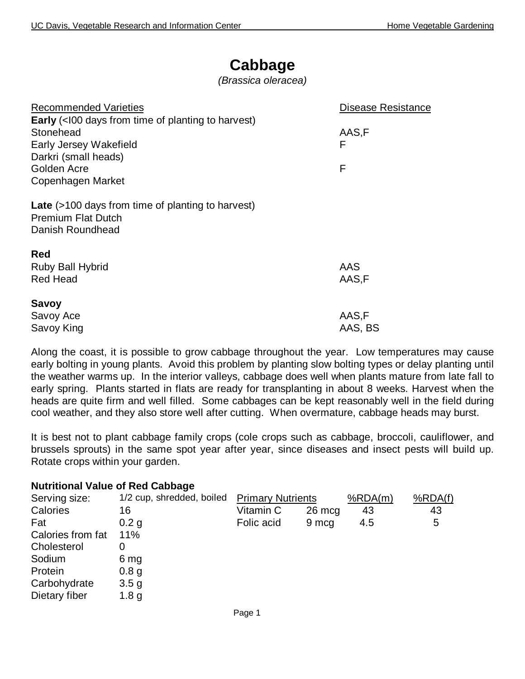## **Cabbage**

*(Brassica oleracea)*

| <b>Recommended Varieties</b>                                                                              | Disease Resistance |
|-----------------------------------------------------------------------------------------------------------|--------------------|
| <b>Early</b> (<100 days from time of planting to harvest)                                                 |                    |
| Stonehead                                                                                                 | AAS,F              |
| Early Jersey Wakefield                                                                                    | F                  |
| Darkri (small heads)                                                                                      |                    |
| Golden Acre                                                                                               | F                  |
| Copenhagen Market                                                                                         |                    |
| <b>Late</b> (>100 days from time of planting to harvest)<br><b>Premium Flat Dutch</b><br>Danish Roundhead |                    |
| <b>Red</b>                                                                                                |                    |
| Ruby Ball Hybrid                                                                                          | AAS                |
| <b>Red Head</b>                                                                                           | AAS,F              |
|                                                                                                           |                    |
| <b>Savoy</b>                                                                                              |                    |
| Savoy Ace                                                                                                 | AAS,F              |
| Savoy King                                                                                                | AAS, BS            |

Along the coast, it is possible to grow cabbage throughout the year. Low temperatures may cause early bolting in young plants. Avoid this problem by planting slow bolting types or delay planting until the weather warms up. In the interior valleys, cabbage does well when plants mature from late fall to early spring. Plants started in flats are ready for transplanting in about 8 weeks. Harvest when the heads are quite firm and well filled. Some cabbages can be kept reasonably well in the field during cool weather, and they also store well after cutting. When overmature, cabbage heads may burst.

It is best not to plant cabbage family crops (cole crops such as cabbage, broccoli, cauliflower, and brussels sprouts) in the same spot year after year, since diseases and insect pests will build up. Rotate crops within your garden.

| <b>Nutritional Value of Red Cabbage</b> |            |        |                          |         |
|-----------------------------------------|------------|--------|--------------------------|---------|
| 1/2 cup, shredded, boiled               |            |        | %RDA(m)                  | %RDA(f) |
| 16                                      | Vitamin C  | 26 mcg | 43                       | 43      |
| 0.2 <sub>g</sub>                        | Folic acid | 9 mcg  | 4.5                      | 5       |
| 11%                                     |            |        |                          |         |
| 0                                       |            |        |                          |         |
| 6 mg                                    |            |        |                          |         |
| 0.8 <sub>g</sub>                        |            |        |                          |         |
| 3.5 <sub>g</sub>                        |            |        |                          |         |
| 1.8 <sub>g</sub>                        |            |        |                          |         |
|                                         |            |        | <b>Primary Nutrients</b> |         |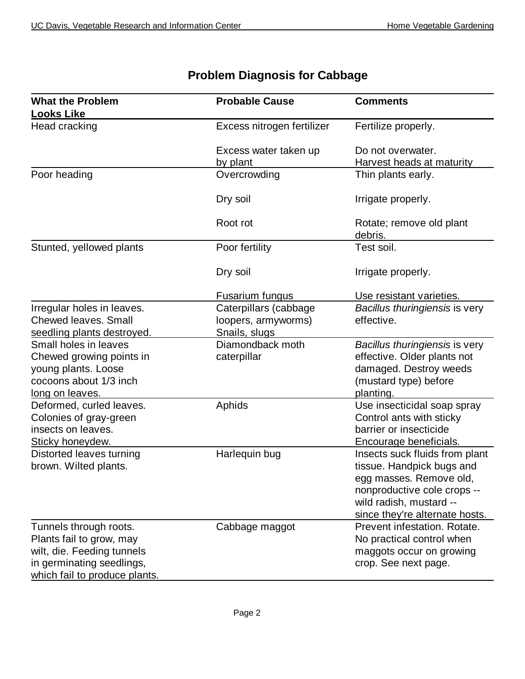| <b>What the Problem</b><br><b>Looks Like</b>                                                                                                   | <b>Probable Cause</b>                                         | <b>Comments</b>                                                                                                                                                                    |
|------------------------------------------------------------------------------------------------------------------------------------------------|---------------------------------------------------------------|------------------------------------------------------------------------------------------------------------------------------------------------------------------------------------|
| Head cracking                                                                                                                                  | Excess nitrogen fertilizer                                    | Fertilize properly.                                                                                                                                                                |
|                                                                                                                                                | Excess water taken up<br>by plant                             | Do not overwater.<br><b>Harvest heads at maturity</b>                                                                                                                              |
| Poor heading                                                                                                                                   | Overcrowding                                                  | Thin plants early.                                                                                                                                                                 |
|                                                                                                                                                | Dry soil                                                      | Irrigate properly.                                                                                                                                                                 |
|                                                                                                                                                | Root rot                                                      | Rotate; remove old plant<br>debris.                                                                                                                                                |
| Stunted, yellowed plants                                                                                                                       | Poor fertility                                                | Test soil.                                                                                                                                                                         |
|                                                                                                                                                | Dry soil                                                      | Irrigate properly.                                                                                                                                                                 |
|                                                                                                                                                | Fusarium fungus                                               | Use resistant varieties.                                                                                                                                                           |
| Irregular holes in leaves.<br><b>Chewed leaves. Small</b><br>seedling plants destroyed.                                                        | Caterpillars (cabbage<br>loopers, armyworms)<br>Snails, slugs | Bacillus thuringiensis is very<br>effective.                                                                                                                                       |
| Small holes in leaves<br>Chewed growing points in<br>young plants. Loose<br>cocoons about 1/3 inch<br><u>long on leaves.</u>                   | Diamondback moth<br>caterpillar                               | Bacillus thuringiensis is very<br>effective. Older plants not<br>damaged. Destroy weeds<br>(mustard type) before<br>planting.                                                      |
| Deformed, curled leaves.<br>Colonies of gray-green<br>insects on leaves.<br>Sticky honeydew.                                                   | Aphids                                                        | Use insecticidal soap spray<br>Control ants with sticky<br>barrier or insecticide<br>Encourage beneficials.                                                                        |
| Distorted leaves turning<br>brown. Wilted plants.                                                                                              | Harlequin bug                                                 | Insects suck fluids from plant<br>tissue. Handpick bugs and<br>egg masses. Remove old,<br>nonproductive cole crops --<br>wild radish, mustard --<br>since they're alternate hosts. |
| Tunnels through roots.<br>Plants fail to grow, may<br>wilt, die. Feeding tunnels<br>in germinating seedlings,<br>which fail to produce plants. | Cabbage maggot                                                | Prevent infestation. Rotate.<br>No practical control when<br>maggots occur on growing<br>crop. See next page.                                                                      |

## **Problem Diagnosis for Cabbage**